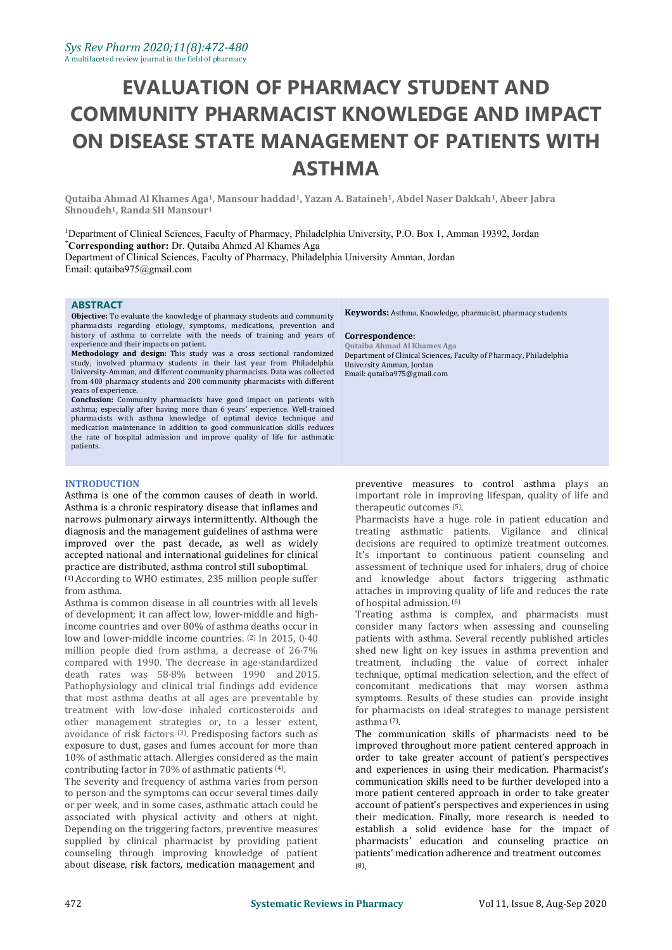# **EVALUATION OF PHARMACY STUDENT AND COMMUNITY PHARMACIST KNOWLEDGE AND IMPACT ON DISEASE STATE MANAGEMENT OF PATIENTS WITH ASTHMA**

Outaiba Ahmad Al Khames Aga<sup>1</sup>, Mansour haddad<sup>1</sup>, Yazan A. Bataineh<sup>1</sup>, Abdel Naser Dakkah<sup>1</sup>, Abeer Jabra **Shnoudeh1, Randa SH Mansour<sup>1</sup>**

<sup>1</sup>Department of Clinical Sciences, Faculty of Pharmacy, Philadelphia University, P.O. Box 1, Amman 19392, Jordan **\*Corresponding author:** Dr.Qutaiba Ahmed Al Khames Aga Department of Clinical Sciences, Faculty of Pharmacy, Philadelphia University Amman, Jordan Email: [qutaiba975@gmail.com](mailto:qutaiba975@gmail.com)

#### **ABSTRACT**

**Objective:** To evaluate the knowledge of pharmacy students and community pharmacists regarding etiology, symptoms, medications, prevention and history of asthma to correlate with the needs of training and years of **Correspon** experience and their impacts on patient. **Methodology and design:** This study was <sup>a</sup> cross sectional randomized

study, involved pharmacy students in their last year from Philadelphia University-Amman, and different community pharmacists. Data was collected from 400 pharmacy students and 200 community pharmacists with different years of experience.<br>**Conclusion:** Community pharmacists have good impact on patients with

asthma; especially after having more than 6 years' experience. Well-trained pharmacists with asthma knowledge of optimal device technique and medication maintenance in addition to good communication skills reduces the rate of hospital admission and improve quality of life for asthmatic patients.

#### **INTRODUCTION**

Asthma is one of the common causes of death in world. Asthma is a chronic respiratory disease that inflames and narrows pulmonary airways intermittently. Although the diagnosis and the management guidelines of asthma were improved over the past decade, as well as widely accepted national and international guidelines for clinical practice are distributed, asthma control still suboptimal.

(1) According to WHO estimates, 235 million people suffer from asthma.

Asthma is common disease in all countries with all levels of development; it can affect low, lower-middle and highincome countries and over 80% of asthma deaths occur in low and lower-middle income countries. (2) In 2015, 0·40 million people died from asthma, a decrease of 26·7% compared with 1990. The decrease in age-standardized death rates was 58·8% between 1990 and 2015. Pathophysiology and clinical trial findings add evidence that most asthma deaths at all ages are preventable by treatment with low-dose inhaled corticosteroids and other management strategies or, to a lesser extent, avoidance of risk factors <sup>(3)</sup>. Predisposing factors such as **The commu** exposure to dust, gases and fumes account for more than 10% of asthmatic attach. Allergies considered as the main .

The severity and frequency of asthma varies from person to person and the symptoms can occur several times daily<br>or per week, and in some cases, asthmatic attach could be associated with physical activity and others at night. Depending on the triggering factors, preventive measures supplied by clinical pharmacist by providing patient counseling through improving knowledge of patient about disease, risk factors, medication management and

**Keywords:** Asthma, Knowledge, pharmacist, pharmacy students

# **Correspondence**: **Qutaiba Ahmad Al Khames Aga**

Department of Clinical Sciences, Faculty of Pharmacy, Philadelphia University Amman, Jordan Email: [qutaiba975@gmail.com](mailto:qutaiba975@gmail.com)

preventive measures to control asthma plays an important role in improving lifespan, quality of life and therapeutic outcomes (5). .

Pharmacists have a huge role in patient education and treating asthmatic patients. Vigilance and clinical decisions are required to optimize treatment outcomes. It's important to continuous patient counseling and assessment of technique used for inhalers, drug of choice and knowledge about factors triggering asthmatic attaches in improving quality of life and reduces the rate of hospital admission. (6)

Treating asthma is complex, and pharmacists must consider many factors when assessing and counseling patients with asthma. Several recently published articles shed new light on key issues in asthma prevention and treatment, including the value of correct inhaler technique, optimal medication selection, and the effect of concomitant medications that may worsen asthma symptoms. Results of these studies can provide insight for pharmacists on ideal strategies to manage persistent asthma (7) .

contributing factor in 70% of asthmatic patients <sup>(4)</sup>. and experiences in using their medication. Pharmacist's The severity and frequency of asthma varies from person communication skills need to be further developed into The communication skills of pharmacists need to be improved throughout more patient centered approach in order to take greater account of patient's perspectives and experiences in using their medication. Pharmacist's more patient centered approach in order to take greater account of patient's perspectives and experiences in using their medication. Finally, more research is needed to establish a solid evidence base for the impact of pharmacists' education and counseling practice on patients' medication adherence and treatment outcomes (8).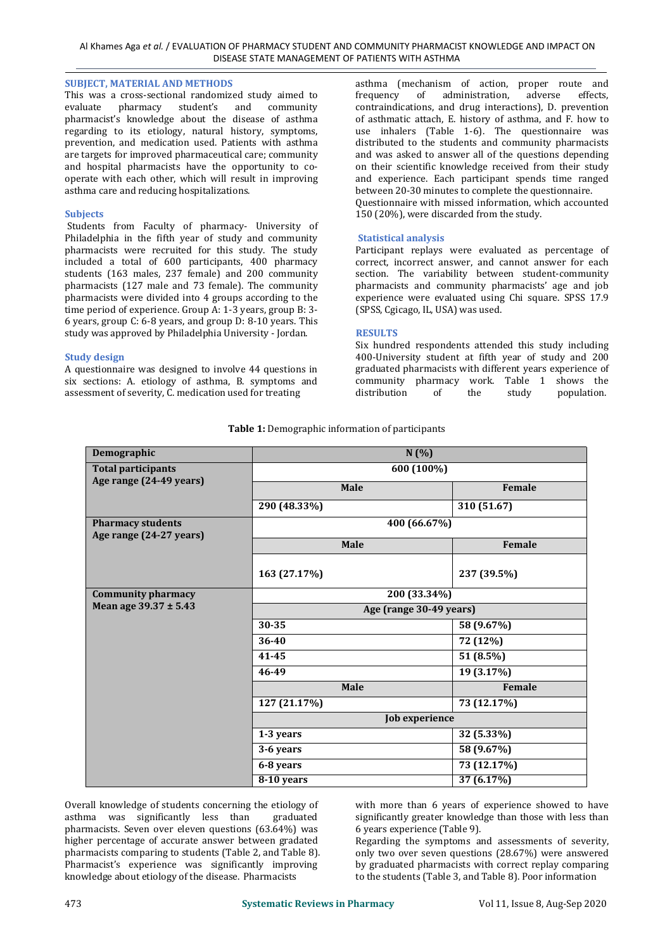#### **SUBJECT, MATERIAL AND METHODS**

This was a cross-sectional randomized study aimed to evaluate pharmacy student's and community student's and pharmacist's knowledge about the disease of asthma regarding to its etiology, natural history, symptoms, prevention, and medication used. Patients with asthma are targets for improved pharmaceutical care; community and hospital pharmacists have the opportunity to co operate with each other, which will result in improving asthma care and reducing hospitalizations.

#### **Subjects**

Students from Faculty of pharmacy- University of Philadelphia in the fifth year of study and community pharmacists were recruited for this study. The study included a total of 600 participants, 400 pharmacy students (163 males, 237 female) and 200 community pharmacists (127 male and 73 female). The community pharmacists were divided into 4 groups according to the time period of experience. Group A: 1-3 years, group B: 3- 6 years, group C: 6-8 years, and group D: 8-10 years. This study was approved by Philadelphia University - Jordan.

#### **Study design**

A questionnaire was designed to involve 44 questions in six sections: A. etiology of asthma, B. symptoms and community assessment of severity. C. medication used for treating distribution assessment of severity, C. medication used for treating

asthma (mechanism of action, proper route and<br>frequency of administration, adverse effects, frequency of administration, contraindications, and drug interactions), D. prevention of asthmatic attach, E. history of asthma, and F. how to use inhalers (Table 1-6). The questionnaire was distributed to the students and community pharmacists and was asked to answer all of the questions depending on their scientific knowledge received from their study and experience. Each participant spends time ranged between 20-30 minutes to complete the questionnaire. Questionnaire with missed information, which accounted 150 (20%), were discarded from the study.

# **Statistical analysis**

Participant replays were evaluated as percentage of correct, incorrect answer, and cannot answer for each section. The variability between student-community pharmacists and community pharmacists' age and job experience were evaluated using Chi square. SPSS 17.9 (SPSS, Cgicago, IL, USA) was used.

#### **RESULTS**

Six hundred respondents attended this study including 400-University student at fifth year of study and 200 graduated pharmacists with different years experience of community pharmacy work. Table 1 shows the population.

| Demographic                                         | N(%)                    |             |  |  |  |  |
|-----------------------------------------------------|-------------------------|-------------|--|--|--|--|
| <b>Total participants</b>                           | 600 (100%)              |             |  |  |  |  |
| Age range (24-49 years)                             | Male                    | Female      |  |  |  |  |
|                                                     | 290 (48.33%)            | 310 (51.67) |  |  |  |  |
| <b>Pharmacy students</b><br>Age range (24-27 years) | 400 (66.67%)            |             |  |  |  |  |
|                                                     | Male                    | Female      |  |  |  |  |
|                                                     | 163 (27.17%)            | 237 (39.5%) |  |  |  |  |
| <b>Community pharmacy</b>                           | 200 (33.34%)            |             |  |  |  |  |
| Mean age 39.37 ± 5.43                               | Age (range 30-49 years) |             |  |  |  |  |
|                                                     | 30-35                   | 58 (9.67%)  |  |  |  |  |
|                                                     | 36-40                   | 72 (12%)    |  |  |  |  |
|                                                     | $41 - 45$               | 51 (8.5%)   |  |  |  |  |
|                                                     | 46-49                   | 19 (3.17%)  |  |  |  |  |
|                                                     | Male                    | Female      |  |  |  |  |
|                                                     | 127 (21.17%)            | 73 (12.17%) |  |  |  |  |
|                                                     | Job experience          |             |  |  |  |  |
|                                                     | 1-3 years               | 32 (5.33%)  |  |  |  |  |
|                                                     | 3-6 years               | 58 (9.67%)  |  |  |  |  |
|                                                     | 6-8 years               | 73 (12.17%) |  |  |  |  |
|                                                     | 8-10 years              | 37(6.17%)   |  |  |  |  |

**Table 1:** Demographic information of participants

Overall knowledge of students concerning the etiology of with more than 6 years of experience showed to have asthma was significantly less than graduated significantly greater knowledge than those with less than asthma was significantly less than pharmacists. Seven over eleven questions (63.64%) was higher percentage of accurate answer between gradated pharmacists comparing to students (Table 2, and Table 8). Pharmacist's experience was significantly improving<br>knowledge about etiology of the disease. Pharmacists Overall knowledge of students concerning the etiology of with more than 6 years of experience showed to have<br>asthma was significantly less than graduated pharmacists. Seven over eleven questions (63.64%) was been sexperien

significantly greater knowledge than those with less than 6 years experience (Table 9).

Regarding the symptoms and assessments of severity, only two over seven questions  $(28.67%)$  were answered by graduated pharmacists with correct replay comparing to the students (Table 3, and Table 8). Poor information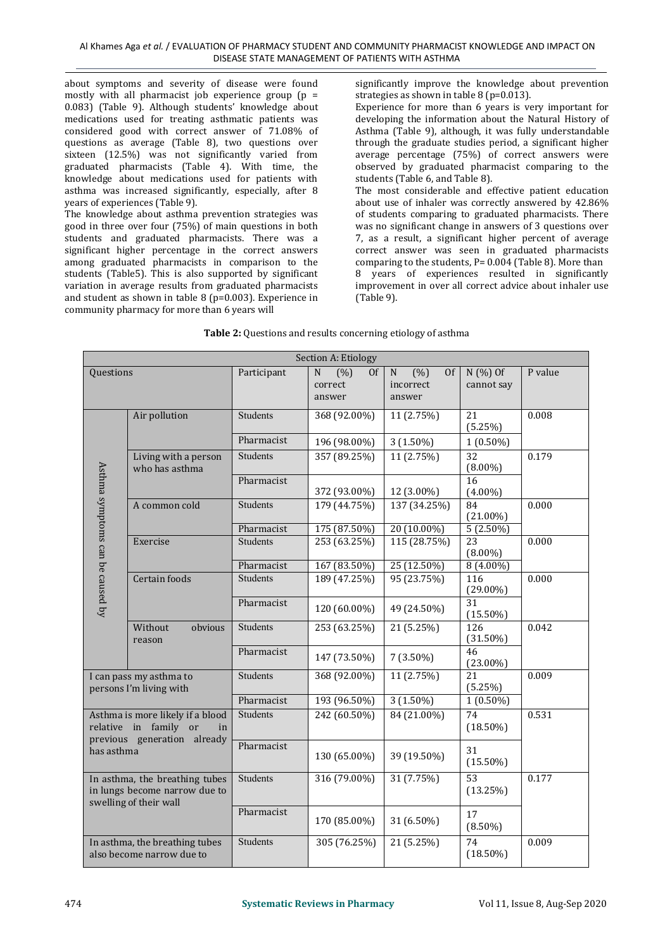about symptoms and severity of disease were found mostly with all pharmacist job experience group  $(p =$ 0.083) (Table 9). Although students' knowledge about medications used for treating asthmatic patients was considered good with correct answer of 71.08% of questions as average (Table 8), two questions over sixteen (12.5%) was not significantly varied from graduated pharmacists (Table 4). With time, the knowledge about medications used for patients with asthma was increased significantly, especially, after 8 years of experiences (Table 9).

The knowledge about asthma prevention strategies was good in three over four (75%) of main questions in both students and graduated pharmacists. There was a significant higher percentage in the correct answers among graduated pharmacists in comparison to the students (Table5). This is also supported by significant variation in average results from graduated pharmacists and student as shown in table 8 (p=0.003). Experience in community pharmacy for more than 6 years will

significantly improve the knowledge about prevention strategies as shown in table 8 (p=0.013).

Experience for more than 6 years is very important for developing the information about the Natural History of Asthma (Table 9), although, it was fully understandable through the graduate studies period, a significant higher average percentage  $(75%)$  of correct answers were observed by graduated pharmacist comparing to the students (Table 6, and Table 8). The most considerable and effective patient education

about use of inhaler was correctly answered by 42.86% of students comparing to graduated pharmacists. There was no significant change in answers of 3 questions over 7, as a result, a significant higher percent of average correct answer was seen in graduated pharmacists comparing to the students, P= 0.004 (Table 8). More than 8 years of experiences resulted in significantly improvement in over all correct advice about inhaler use (Table 9).

|                                                                 |                                                                 |                 | Section A: Etiology                                      |                                                            |                               |         |
|-----------------------------------------------------------------|-----------------------------------------------------------------|-----------------|----------------------------------------------------------|------------------------------------------------------------|-------------------------------|---------|
| Questions                                                       |                                                                 | Participant     | $\overline{(%)}$<br>0f<br>${\bf N}$<br>correct<br>answer | $\overline{\text{N}}$<br>(% )<br>0f<br>incorrect<br>answer | N (%) Of<br>cannot say        | P value |
|                                                                 | Air pollution                                                   | <b>Students</b> | 368 (92.00%)                                             | 11 (2.75%)                                                 | 21<br>(5.25%)                 | 0.008   |
|                                                                 |                                                                 | Pharmacist      | 196 (98.00%)                                             | $3(1.50\%)$                                                | $1(0.50\%)$                   |         |
|                                                                 | Living with a person<br>who has asthma                          | Students        | 357 (89.25%)                                             | 11(2.75%)                                                  | $\overline{32}$<br>$(8.00\%)$ | 0.179   |
|                                                                 |                                                                 | Pharmacist      | 372 (93.00%)                                             | 12 (3.00%)                                                 | 16<br>$(4.00\%)$              |         |
| Asthma symptoms can be caused by                                | A common cold                                                   | <b>Students</b> | 179 (44.75%)                                             | 137 (34.25%)                                               | 84<br>$(21.00\%)$             | 0.000   |
|                                                                 |                                                                 | Pharmacist      | 175 (87.50%)                                             | $20(10.00\%)$                                              | $5(2.50\%)$                   |         |
|                                                                 | Exercise                                                        | Students        | 253 (63.25%)                                             | 115 (28.75%)                                               | 23<br>$(8.00\%)$              | 0.000   |
|                                                                 |                                                                 | Pharmacist      | 167 (83.50%)                                             | 25 (12.50%)                                                | $8(4.00\%)$                   |         |
|                                                                 | Certain foods                                                   | Students        | 189 (47.25%)                                             | 95 (23.75%)                                                | 116<br>$(29.00\%)$            | 0.000   |
|                                                                 |                                                                 | Pharmacist      | 120 (60.00%)                                             | 49 (24.50%)                                                | 31<br>$(15.50\%)$             |         |
|                                                                 | Without<br>obvious<br>reason                                    | Students        | 253 (63.25%)                                             | 21(5.25%)                                                  | 126<br>$(31.50\%)$            | 0.042   |
|                                                                 |                                                                 | Pharmacist      | 147 (73.50%)                                             | $7(3.50\%)$                                                | 46<br>$(23.00\%)$             |         |
|                                                                 | I can pass my asthma to<br>persons I'm living with              | Students        | 368 (92.00%)                                             | 11(2.75%)                                                  | 21<br>(5.25%)                 | 0.009   |
|                                                                 |                                                                 | Pharmacist      | 193 (96.50%)                                             | $3(1.50\%)$                                                | $1(0.50\%)$                   |         |
|                                                                 | Asthma is more likely if a blood<br>relative in family or<br>in | <b>Students</b> | 242 (60.50%)                                             | 84 (21.00%)                                                | 74<br>$(18.50\%)$             | 0.531   |
| previous generation already<br>has asthma                       | Pharmacist                                                      | 130 (65.00%)    | 39 (19.50%)                                              | 31<br>$(15.50\%)$                                          |                               |         |
| In asthma, the breathing tubes<br>in lungs become narrow due to | <b>Students</b>                                                 | 316 (79.00%)    | 31 (7.75%)                                               | $\overline{53}$<br>(13.25%)                                | 0.177                         |         |
|                                                                 | swelling of their wall                                          | Pharmacist      | 170 (85.00%)                                             | 31 (6.50%)                                                 | 17<br>$(8.50\%)$              |         |
|                                                                 | In asthma, the breathing tubes<br>also become narrow due to     | Students        | 305 (76.25%)                                             | 21 (5.25%)                                                 | 74<br>$(18.50\%)$             | 0.009   |

#### **Table 2:** Questions and results concerning etiology of asthma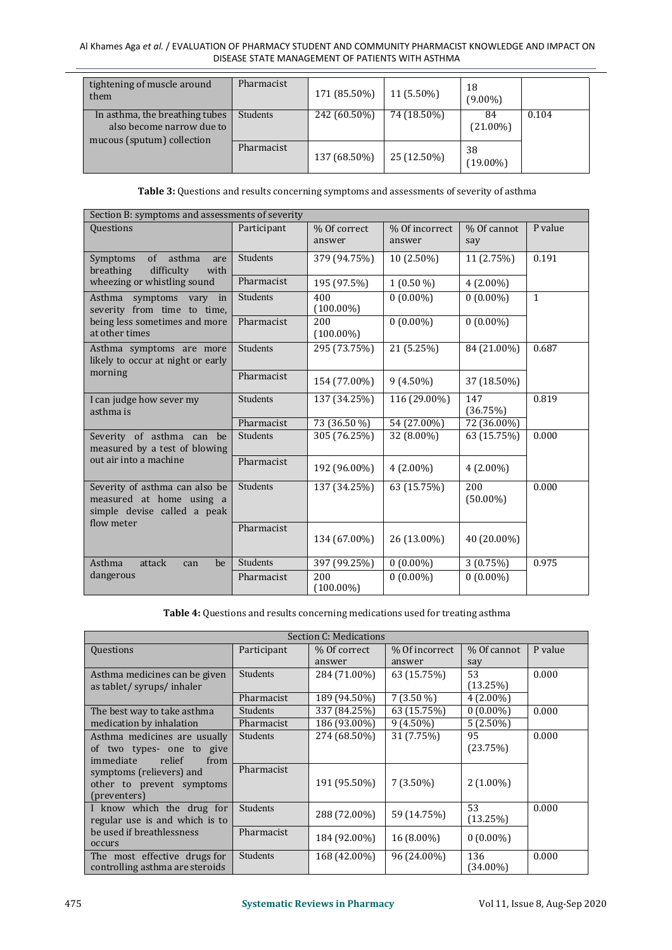#### Al Khames Aga *et al.* / EVALUATION OF PHARMACY STUDENT AND COMMUNITY PHARMACIST KNOWLEDGE AND IMPACT ON DISEASE STATE MANAGEMENT OF PATIENTS WITH ASTHMA

| them | tightening of muscle around                                                               | Pharmacist      | 171 (85.50%) | 11 (5.50%)  | 18<br>$(9.00\%)$  |       |
|------|-------------------------------------------------------------------------------------------|-----------------|--------------|-------------|-------------------|-------|
|      | In asthma, the breathing tubes<br>also become narrow due to<br>mucous (sputum) collection | <b>Students</b> | 242 (60.50%) | 74 (18.50%) | 84<br>$(21.00\%)$ | 0.104 |
|      |                                                                                           | Pharmacist      | 137 (68.50%) | 25 (12.50%) | 38<br>$(19.00\%)$ |       |

**Table 3:** Questions and results concerning symptoms and assessments of severity of asthma

| Section B: symptoms and assessments of severity                                                         |                 |                        |                          |                    |              |  |  |
|---------------------------------------------------------------------------------------------------------|-----------------|------------------------|--------------------------|--------------------|--------------|--|--|
| <b>Ouestions</b>                                                                                        | Participant     | % Of correct<br>answer | % Of incorrect<br>answer | % Of cannot<br>say | P value      |  |  |
| asthma<br>$\sigma$ f<br>Symptoms<br>are<br>difficulty<br>breathing<br>with                              | <b>Students</b> | 379 (94.75%)           | 10 (2.50%)               | 11 (2.75%)         | 0.191        |  |  |
| wheezing or whistling sound                                                                             | Pharmacist      | 195 (97.5%)            | $1(0.50\%)$              | $4(2.00\%)$        |              |  |  |
| Asthma symptoms vary in<br>severity from time to time,                                                  | Students        | 400<br>$(100.00\%)$    | $0(0.00\%)$              | $0(0.00\%)$        | $\mathbf{1}$ |  |  |
| being less sometimes and more<br>at other times                                                         | Pharmacist      | 200<br>$(100.00\%)$    | $0(0.00\%)$              | $0(0.00\%)$        |              |  |  |
| Asthma symptoms are more<br>likely to occur at night or early                                           | <b>Students</b> | 295 (73.75%)           | 21 (5.25%)               | 84 (21.00%)        | 0.687        |  |  |
| morning                                                                                                 | Pharmacist      | 154 (77.00%)           | $9(4.50\%)$              | 37 (18.50%)        |              |  |  |
| I can judge how sever my<br>asthma is                                                                   | <b>Students</b> | 137 (34.25%)           | 116 (29.00%)             | 147<br>(36.75%)    | 0.819        |  |  |
|                                                                                                         | Pharmacist      | 73 (36.50 %)           | 54 (27.00%)              | 72 (36.00%)        |              |  |  |
| Severity of asthma can be<br>measured by a test of blowing                                              | <b>Students</b> | 305 (76.25%)           | 32 (8.00%)               | 63 (15.75%)        | 0.000        |  |  |
| out air into a machine                                                                                  | Pharmacist      | 192 (96.00%)           | $4(2.00\%)$              | $4(2.00\%)$        |              |  |  |
| Severity of asthma can also be<br>measured at home using a<br>simple devise called a peak<br>flow meter | Students        | 137 (34.25%)           | 63 (15.75%)              | 200<br>$(50.00\%)$ | 0.000        |  |  |
|                                                                                                         | Pharmacist      | 134 (67.00%)           | 26 (13.00%)              | 40 (20.00%)        |              |  |  |
| Asthma<br>attack<br>be<br>can                                                                           | Students        | 397 (99.25%)           | $0(0.00\%)$              | 3(0.75%)           | 0.975        |  |  |
| dangerous                                                                                               | Pharmacist      | 200<br>$(100.00\%)$    | $0(0.00\%)$              | $0(0.00\%)$        |              |  |  |

**Table 4:** Questions and results concerning medications used for treating asthma

|                                                                                          |                        | Section C: Medications       |                            |                                      |         |
|------------------------------------------------------------------------------------------|------------------------|------------------------------|----------------------------|--------------------------------------|---------|
| Questions                                                                                | Participant            | % Of correct<br>answer       | % Of incorrect<br>answer   | % Of cannot                          | P value |
| Asthma medicines can be given<br>as tablet/syrups/inhaler                                | Students<br>Pharmacist | 284 (71.00%)<br>189 (94.50%) | 63 (15.75%)<br>$7(3.50\%)$ | say<br>53<br>(13.25%)<br>$4(2.00\%)$ | 0.000   |
| The best way to take asthma<br>medication by inhalation                                  | Students<br>Pharmacist | 337 (84.25%)<br>186 (93.00%) | 63 (15.75%)<br>$9(4.50\%)$ | $0(0.00\%)$<br>$5(2.50\%)$           | 0.000   |
| Asthma medicines are usually<br>of two types- one to give<br>relief<br>immediate<br>from | Students               | 274 (68.50%)                 | 31 (7.75%)                 | 95<br>(23.75%)                       | 0.000   |
| symptoms (relievers) and<br>other to prevent symptoms<br>(preventers)                    | Pharmacist             | 191 (95.50%)                 | $7(3.50\%)$                | $2(1.00\%)$                          |         |
| I know which the drug for<br>regular use is and which is to                              | Students               | 288 (72.00%)                 | 59 (14.75%)                | 53<br>(13.25%)                       | 0.000   |
| be used if breathlessness<br>occurs                                                      | Pharmacist             | 184 (92.00%)                 | $16(8.00\%)$               | $0(0.00\%)$                          |         |
| The most effective drugs for<br>controlling asthma are steroids                          | Students               | 168 (42.00%)                 | 96 (24.00%)                | 136<br>$(34.00\%)$                   | 0.000   |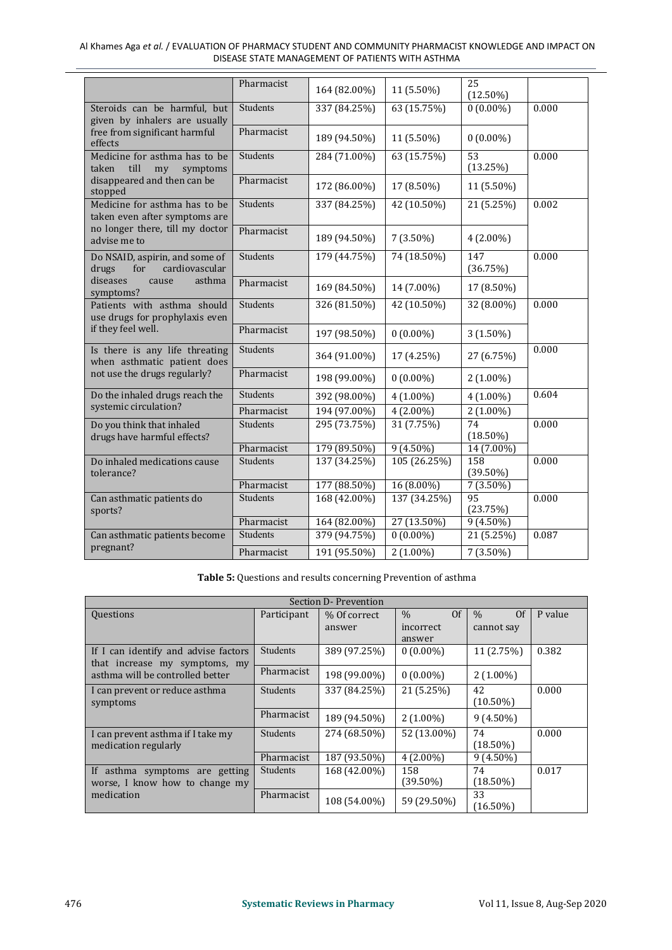|                                                                           | Pharmacist      | 164 (82.00%) | 11 (5.50%)   | 25                         |       |
|---------------------------------------------------------------------------|-----------------|--------------|--------------|----------------------------|-------|
| Steroids can be harmful, but                                              | Students        | 337 (84.25%) | 63 (15.75%)  | $(12.50\%)$<br>$0(0.00\%)$ | 0.000 |
| given by inhalers are usually<br>free from significant harmful<br>effects | Pharmacist      | 189 (94.50%) | 11 (5.50%)   | $0(0.00\%)$                |       |
| Medicine for asthma has to be<br>till<br>taken<br>my<br>symptoms          | <b>Students</b> | 284 (71.00%) | 63 (15.75%)  | 53<br>(13.25%)             | 0.000 |
| disappeared and then can be<br>stopped                                    | Pharmacist      | 172 (86.00%) | 17 (8.50%)   | 11 (5.50%)                 |       |
| Medicine for asthma has to be<br>taken even after symptoms are            | <b>Students</b> | 337 (84.25%) | 42 (10.50%)  | 21 (5.25%)                 | 0.002 |
| no longer there, till my doctor<br>advise me to                           | Pharmacist      | 189 (94.50%) | $7(3.50\%)$  | $4(2.00\%)$                |       |
| Do NSAID, aspirin, and some of<br>cardiovascular<br>drugs<br>for          | <b>Students</b> | 179 (44.75%) | 74 (18.50%)  | 147<br>(36.75%)            | 0.000 |
| diseases<br>asthma<br>cause<br>symptoms?                                  | Pharmacist      | 169 (84.50%) | 14 (7.00%)   | 17 (8.50%)                 |       |
| Patients with asthma should<br>use drugs for prophylaxis even             | <b>Students</b> | 326 (81.50%) | 42 (10.50%)  | 32 (8.00%)                 | 0.000 |
| if they feel well.                                                        | Pharmacist      | 197 (98.50%) | $0(0.00\%)$  | $3(1.50\%)$                |       |
| Is there is any life threating<br>when asthmatic patient does             | <b>Students</b> | 364 (91.00%) | 17 (4.25%)   | 27 (6.75%)                 | 0.000 |
| not use the drugs regularly?                                              | Pharmacist      | 198 (99.00%) | $0(0.00\%)$  | $2(1.00\%)$                |       |
| Do the inhaled drugs reach the                                            | <b>Students</b> | 392 (98.00%) | $4(1.00\%)$  | $4(1.00\%)$                | 0.604 |
| systemic circulation?                                                     | Pharmacist      | 194 (97.00%) | $4(2.00\%)$  | 2 (1.00%)                  |       |
| Do you think that inhaled<br>drugs have harmful effects?                  | <b>Students</b> | 295 (73.75%) | 31 (7.75%)   | 74<br>$(18.50\%)$          | 0.000 |
|                                                                           | Pharmacist      | 179 (89.50%) | $9(4.50\%)$  | 14 (7.00%)                 |       |
| Do inhaled medications cause<br>tolerance?                                | <b>Students</b> | 137 (34.25%) | 105 (26.25%) | 158<br>$(39.50\%)$         | 0.000 |
|                                                                           | Pharmacist      | 177 (88.50%) | 16 (8.00%)   | $7(3.50\%)$                |       |
| Can asthmatic patients do<br>sports?                                      | <b>Students</b> | 168 (42.00%) | 137 (34.25%) | 95<br>(23.75%)             | 0.000 |
|                                                                           | Pharmacist      | 164 (82.00%) | 27 (13.50%)  | $9(4.50\%)$                |       |
| Can asthmatic patients become<br>pregnant?                                | <b>Students</b> | 379 (94.75%) | $0(0.00\%)$  | 21 (5.25%)                 | 0.087 |
|                                                                           | Pharmacist      | 191 (95.50%) | 2 (1.00%)    | $7(3.50\%)$                |       |

Al Khames Aga *et al.* / EVALUATION OF PHARMACY STUDENT AND COMMUNITY PHARMACIST KNOWLEDGE AND IMPACT ON DISEASE STATE MANAGEMENT OF PATIENTS WITH ASTHMA

**Table 5:** Questions and results concerning Prevention of asthma

|                                                                       |                 | Section D-Prevention |                       |                   |         |
|-----------------------------------------------------------------------|-----------------|----------------------|-----------------------|-------------------|---------|
| <b>Questions</b>                                                      | Participant     | % Of correct         | <sup>Of</sup><br>$\%$ | Of<br>$\%$        | P value |
|                                                                       |                 | answer               | incorrect             | cannot say        |         |
|                                                                       |                 |                      | answer                |                   |         |
| If I can identify and advise factors<br>that increase my symptoms, my | <b>Students</b> | 389 (97.25%)         | $0(0.00\%)$           | 11 (2.75%)        | 0.382   |
| asthma will be controlled better                                      | Pharmacist      | 198 (99.00%)         | $0(0.00\%)$           | $2(1.00\%)$       |         |
| I can prevent or reduce asthma<br>symptoms                            | <b>Students</b> | 337 (84.25%)         | 21(5.25%)             | 42<br>$(10.50\%)$ | 0.000   |
|                                                                       | Pharmacist      | 189 (94.50%)         | $2(1.00\%)$           | $9(4.50\%)$       |         |
| I can prevent asthma if I take my<br>medication regularly             | <b>Students</b> | 274 (68.50%)         | 52 (13.00%)           | 74<br>$(18.50\%)$ | 0.000   |
|                                                                       | Pharmacist      | 187 (93.50%)         | $4(2.00\%)$           | $9(4.50\%)$       |         |
| If asthma symptoms are getting                                        | <b>Students</b> | 168 (42.00%)         | 158                   | 74                | 0.017   |
| worse, I know how to change my                                        |                 |                      | $(39.50\%)$           | $(18.50\%)$       |         |
| medication                                                            | Pharmacist      | 108 (54.00%)         | 59 (29.50%)           | 33<br>$(16.50\%)$ |         |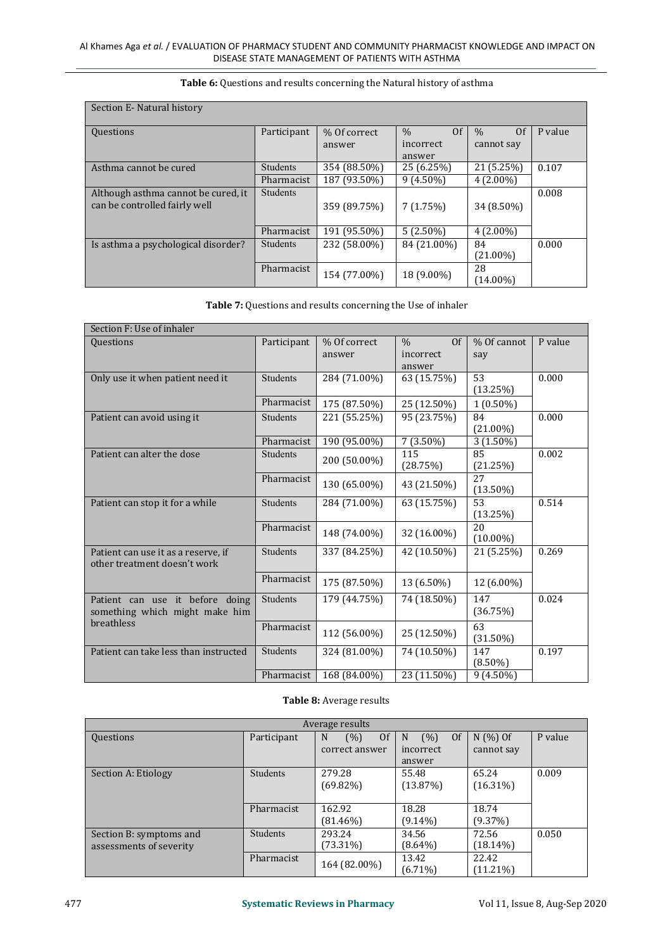| Section E-Natural history           |                 |              |                       |                        |         |
|-------------------------------------|-----------------|--------------|-----------------------|------------------------|---------|
| <b>Questions</b>                    | Participant     | % Of correct | $\%$<br><sup>Of</sup> | 0 <sup>f</sup><br>$\%$ | P value |
|                                     |                 | answer       | incorrect<br>answer   | cannot say             |         |
| Asthma cannot be cured              | <b>Students</b> | 354 (88.50%) | 25 (6.25%)            | 21 (5.25%)             | 0.107   |
|                                     | Pharmacist      | 187 (93.50%) | $9(4.50\%)$           | $4(2.00\%)$            |         |
| Although asthma cannot be cured, it | <b>Students</b> |              |                       |                        | 0.008   |
| can be controlled fairly well       |                 | 359 (89.75%) | 7(1.75%)              | 34 (8.50%)             |         |
|                                     | Pharmacist      | 191 (95.50%) | $5(2.50\%)$           | $4(2.00\%)$            |         |
| Is asthma a psychological disorder? | <b>Students</b> | 232 (58.00%) | 84 (21.00%)           | 84                     | 0.000   |
|                                     |                 |              |                       | $(21.00\%)$            |         |
|                                     | Pharmacist      | 154 (77.00%) | 18 (9.00%)            | 28                     |         |
|                                     |                 |              |                       | (14.00%)               |         |

#### **Table 6:** Questions and results concerning the Natural history of asthma

| <b>Table 7:</b> Questions and results concerning the Use of inhaler |  |
|---------------------------------------------------------------------|--|
|---------------------------------------------------------------------|--|

| Section F: Use of inhaler                                           |                 |                        |                                              |                    |         |
|---------------------------------------------------------------------|-----------------|------------------------|----------------------------------------------|--------------------|---------|
| Questions                                                           | Participant     | % Of correct<br>answer | <sup>Of</sup><br>$\%$<br>incorrect<br>answer | % Of cannot<br>say | P value |
| Only use it when patient need it                                    | <b>Students</b> | 284 (71.00%)           | 63 (15.75%)                                  | 53<br>(13.25%)     | 0.000   |
|                                                                     | Pharmacist      | 175 (87.50%)           | 25 (12.50%)                                  | $1(0.50\%)$        |         |
| Patient can avoid using it                                          | <b>Students</b> | 221 (55.25%)           | 95 (23.75%)                                  | 84<br>$(21.00\%)$  | 0.000   |
|                                                                     | Pharmacist      | 190 (95.00%)           | $7(3.50\%)$                                  | $3(1.50\%)$        |         |
| Patient can alter the dose                                          | <b>Students</b> | 200 (50.00%)           | 115<br>(28.75%)                              | 85<br>(21.25%)     | 0.002   |
|                                                                     | Pharmacist      | 130 (65.00%)           | 43 (21.50%)                                  | 27<br>$(13.50\%)$  |         |
| Patient can stop it for a while                                     | <b>Students</b> | 284 (71.00%)           | 63 (15.75%)                                  | 53<br>(13.25%)     | 0.514   |
|                                                                     | Pharmacist      | 148 (74.00%)           | 32 (16.00%)                                  | 20<br>$(10.00\%)$  |         |
| Patient can use it as a reserve, if<br>other treatment doesn't work | <b>Students</b> | 337 (84.25%)           | 42 (10.50%)                                  | 21 (5.25%)         | 0.269   |
|                                                                     | Pharmacist      | 175 (87.50%)           | 13 (6.50%)                                   | 12 (6.00%)         |         |
| Patient can use it before doing<br>something which might make him   | Students        | 179 (44.75%)           | 74 (18.50%)                                  | 147<br>(36.75%)    | 0.024   |
| breathless                                                          | Pharmacist      | 112 (56.00%)           | 25 (12.50%)                                  | 63<br>$(31.50\%)$  |         |
| Patient can take less than instructed                               | <b>Students</b> | 324 (81.00%)           | 74 (10.50%)                                  | 147<br>$(8.50\%)$  | 0.197   |
|                                                                     | Pharmacist      | 168 (84.00%)           | 23 (11.50%)                                  | $9(4.50\%)$        |         |

#### **Table 8:** Average results

|                                                    |             | Average results                             |                                        |                         |         |
|----------------------------------------------------|-------------|---------------------------------------------|----------------------------------------|-------------------------|---------|
| Questions                                          | Participant | <sup>Of</sup><br>(%)<br>N<br>correct answer | (% )<br>Of<br>N<br>incorrect<br>answer | $N(%)$ Of<br>cannot say | P value |
| Section A: Etiology                                | Students    | 279.28<br>$(69.82\%)$                       | 55.48<br>(13.87%)                      | 65.24<br>$(16.31\%)$    | 0.009   |
|                                                    | Pharmacist  | 162.92<br>$(81.46\%)$                       | 18.28<br>$(9.14\%)$                    | 18.74<br>(9.37%)        |         |
| Section B: symptoms and<br>assessments of severity | Students    | 293.24<br>$(73.31\%)$                       | 34.56<br>$(8.64\%)$                    | 72.56<br>$(18.14\%)$    | 0.050   |
|                                                    | Pharmacist  | 164 (82.00%)                                | 13.42<br>$(6.71\%)$                    | 22.42<br>$(11.21\%)$    |         |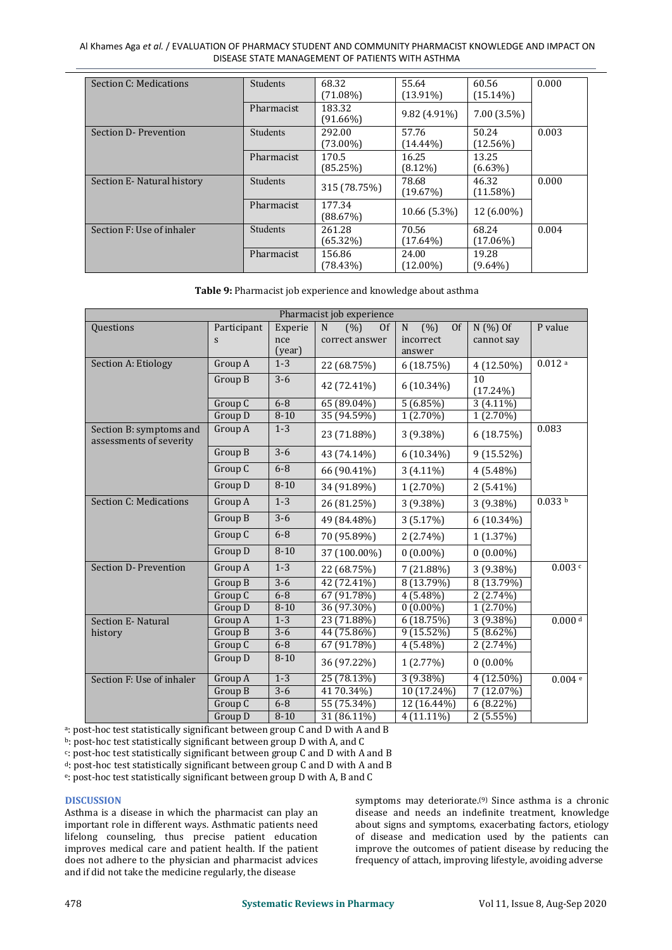#### Al Khames Aga *et al.* / EVALUATION OF PHARMACY STUDENT AND COMMUNITY PHARMACIST KNOWLEDGE AND IMPACT ON DISEASE STATE MANAGEMENT OF PATIENTS WITH ASTHMA

| Section C: Medications    | Students   | 68.32<br>$(71.08\%)$  | 55.64<br>$(13.91\%)$ | 60.56<br>$(15.14\%)$ | 0.000 |
|---------------------------|------------|-----------------------|----------------------|----------------------|-------|
|                           | Pharmacist | 183.32<br>$(91.66\%)$ | $9.82(4.91\%)$       | $7.00(3.5\%)$        |       |
| Section D-Prevention      | Students   | 292.00<br>$(73.00\%)$ | 57.76<br>$(14.44\%)$ | 50.24<br>$(12.56\%)$ | 0.003 |
|                           | Pharmacist | 170.5<br>(85.25%)     | 16.25<br>$(8.12\%)$  | 13.25<br>$(6.63\%)$  |       |
| Section E-Natural history | Students   | 315 (78.75%)          | 78.68<br>(19.67%)    | 46.32<br>$(11.58\%)$ | 0.000 |
|                           | Pharmacist | 177.34<br>(88.67%)    | 10.66 (5.3%)         | 12 (6.00%)           |       |
| Section F: Use of inhaler | Students   | 261.28<br>$(65.32\%)$ | 70.56<br>$(17.64\%)$ | 68.24<br>$(17.06\%)$ | 0.004 |
|                           | Pharmacist | 156.86<br>$(78.43\%)$ | 24.00<br>$(12.00\%)$ | 19.28<br>$(9.64\%)$  |       |

**Table 9:** Pharmacist job experience and knowledge about asthma

| Pharmacist job experience                          |             |          |                          |                           |                   |           |
|----------------------------------------------------|-------------|----------|--------------------------|---------------------------|-------------------|-----------|
| Questions                                          | Participant | Experie  | $\mathbf N$<br>(%)<br>0f | $\mathbf N$<br>(% )<br>Of | $N(%)$ Of         | P value   |
|                                                    | S           | nce      | correct answer           | incorrect                 | cannot say        |           |
|                                                    |             | (year)   |                          | answer                    |                   |           |
| Section A: Etiology                                | Group A     | $1 - 3$  | 22 (68.75%)              | 6(18.75%)                 | 4 (12.50%)        | 0.012a    |
|                                                    | Group B     | $3-6$    | 42 (72.41%)              | $6(10.34\%)$              | 10<br>$(17.24\%)$ |           |
|                                                    | Group C     | $6 - 8$  | 65 (89.04%)              | 5(6.85%)                  | $3(4.11\%)$       |           |
|                                                    | Group D     | $8 - 10$ | 35 (94.59%)              | $1(2.70\%)$               | $1(2.70\%)$       |           |
| Section B: symptoms and<br>assessments of severity | Group A     | $1 - 3$  | 23 (71.88%)              | $3(9.38\%)$               | 6(18.75%)         | 0.083     |
|                                                    | Group B     | $3-6$    | 43 (74.14%)              | $6(10.34\%)$              | 9 (15.52%)        |           |
|                                                    | Group C     | $6-8$    | 66 (90.41%)              | $3(4.11\%)$               | $4(5.48\%)$       |           |
|                                                    | Group D     | $8 - 10$ | 34 (91.89%)              | $1(2.70\%)$               | $2(5.41\%)$       |           |
| <b>Section C: Medications</b>                      | Group A     | $1-3$    | 26 (81.25%)              | $3(9.38\%)$               | $3(9.38\%)$       | 0.033 b   |
|                                                    | Group B     | $3-6$    | 49 (84.48%)              | 3(5.17%)                  | $6(10.34\%)$      |           |
|                                                    | Group C     | $6-8$    | 70 (95.89%)              | $2(2.74\%)$               | 1(1.37%)          |           |
|                                                    | Group D     | $8 - 10$ | 37 (100.00%)             | $0(0.00\%)$               | $0(0.00\%)$       |           |
| Section D- Prevention                              | Group A     | $1 - 3$  | 22 (68.75%)              | 7 (21.88%)                | 3 (9.38%)         | 0.003c    |
|                                                    | Group B     | $3-6$    | $42(72.41\%)$            | 8 (13.79%)                | 8 (13.79%)        |           |
|                                                    | Group C     | $6 - 8$  | 67(91.78%)               | $4(5.48\%)$               | 2(2.74%)          |           |
|                                                    | Group D     | $8 - 10$ | 36 (97.30%)              | $0(0.00\%)$               | $1(2.70\%)$       |           |
| Section E-Natural                                  | Group A     | $1 - 3$  | 23 (71.88%)              | 6(18.75%)                 | $3(9.38\%)$       | $0.000$ d |
| history                                            | Group B     | $3-6$    | 44 (75.86%)              | $9(15.52\%)$              | $5(8.62\%)$       |           |
|                                                    | Group C     | $6 - 8$  | 67(91.78%)               | $4(5.48\%)$               | $2(2.74\%)$       |           |
|                                                    | Group D     | $8 - 10$ | 36 (97.22%)              | 1(2.77%)                  | $0(0.00\%$        |           |
| Section F: Use of inhaler                          | Group A     | $1 - 3$  | 25(78.13%)               | $3(9.38\%)$               | $4(12.50\%)$      | 0.004e    |
|                                                    | Group B     | $3-6$    | 41 70.34%)               | $10(17.24\%)$             | 7(12.07%)         |           |
|                                                    | Group C     | $6 - 8$  | 55 (75.34%)              | 12 (16.44%)               | $6(8.22\%)$       |           |
|                                                    | Group D     | $8 - 10$ | 31 (86.11%)              | $4(11.11\%)$              | 2(5.55%)          |           |

<sup>a</sup>: post-hoc test statistically significant between group C and D with A and B

<sup>b</sup>: post-hoc test statistically significant between group D with A, and C

c : post-hoc teststatistically significant between group C and D with A and B

<sup>d</sup>: post-hoc test statistically significant between group C and D with A and B

e: post-hoc test statistically significant between group D with A, B and C

#### **DISCUSSION**

Asthma is a disease in which the pharmacist can play an important role in different ways. Asthmatic patients need lifelong counseling, thus precise patient education improves medical care and patient health. If the patient does not adhere to the physician and pharmacist advices and if did not take the medicine regularly, the disease

symptoms may deteriorate.<sup>(9)</sup> Since asthma is a chronic disease and needs an indefinite treatment, knowledge about signs and symptoms, exacerbating factors, etiology of disease and medication used by the patients can improve the outcomes of patient disease by reducing the frequency of attach, improving lifestyle, avoiding adverse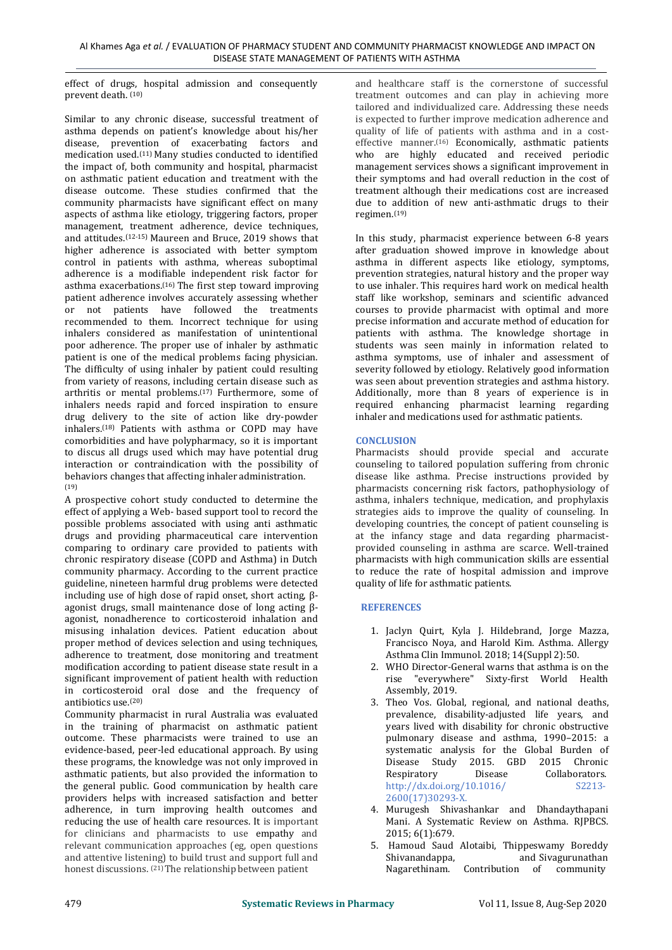effect of drugs, hospital admission and consequently prevent death. (10)

Similar to any chronic disease, successful treatment of asthma depends on patient's knowledge about his/her disease, prevention of exacerbating factors and medication used.(11) Many studies conducted to identified the impact of, both community and hospital, pharmacist on asthmatic patient education and treatment with the disease outcome. These studies confirmed that the community pharmacists have significant effect on many aspects of asthma like etiology, triggering factors, proper management, treatment adherence, device techniques, and attitudes.(12-15) Maureen and Bruce, 2019 shows that higher adherence is associated with better symptom control in patients with asthma, whereas suboptimal adherence is a modifiable independent risk factor for asthma exacerbations.(16) The first step toward improving patient adherence involves accurately assessing whether or not patients have followed the treatments recommended to them. Incorrect technique for using inhalers considered as manifestation of unintentional poor adherence. The proper use of inhaler by asthmatic patient is one of the medical problems facing physician. The difficulty of using inhaler by patient could resulting from variety of reasons, including certain disease such as arthritis or mental problems.(17) Furthermore, some of inhalers needs rapid and forced inspiration to ensure drug delivery to the site of action like dry-powder inhalers.(18) Patients with asthma or COPD may have comorbidities and have polypharmacy, so it is important to discus all drugs used which may have potential drug interaction or contraindication with the possibility of behaviors changes that affecting inhaler administration. (19)

A prospective cohort study conducted to determine the effect of applying a Web- based support tool to record the possible problems associated with using anti asthmatic drugs and providing pharmaceutical care intervention comparing to ordinary care provided to patients with chronic respiratory disease (COPD and Asthma) in Dutch community pharmacy. According to the current practice guideline, nineteen harmful drug problems were detected including use of high dose of rapid onset, short acting, β agonist drugs, small maintenance dose of long acting β agonist, nonadherence to corticosteroid inhalation and misusing inhalation devices. Patient education about proper method of devices selection and using techniques, adherence to treatment, dose monitoring and treatment modification according to patient disease state result in a significant improvement of patient health with reduction in corticosteroid oral dose and the frequency of antibiotics use.(20)

Community pharmacist in rural Australia was evaluated in the training of pharmacist on asthmatic patient outcome. These pharmacists were trained to use an evidence-based, peer-led educational approach. By using these programs, the knowledge was not only improved in This is a Disease Stasthmatic patients, but also provided the information to Respiratory asthmatic patients, but also provided the information to the general public. Good communication by health care providers helps with increased satisfaction and better adherence, in turn improving health outcomes and reducing the use of health care resources. It is important for clinicians and pharmacists to use empathy and relevant communication approaches (eg, open questions 5. Hamoud Saud and attentive listening) to build trust and support full and Shivanandappa, and attentive listening) to build trust and support full and honest discussions. <sup>(21)</sup>The relationship between patient

and healthcare staff is the cornerstone of successful treatment outcomes and can play in achieving more tailored and individualized care. Addressing these needs is expected to further improve medication adherence and quality of life of patients with asthma and in a cost effective manner.(16) Economically, asthmatic patients who are highly educated and received periodic management services shows a significant improvement in their symptoms and had overall reduction in the cost of treatment although their medications cost are increased due to addition of new anti-asthmatic drugs to their regimen.(19)

In this study, pharmacist experience between 6-8 years after graduation showed improve in knowledge about asthma in different aspects like etiology, symptoms, prevention strategies, natural history and the proper way to use inhaler. This requires hard work on medical health staff like workshop, seminars and scientific advanced courses to provide pharmacist with optimal and more precise information and accurate method of education for patients with asthma. The knowledge shortage in students was seen mainly in information related to asthma symptoms, use of inhaler and assessment of severity followed by etiology. Relatively good information was seen about prevention strategies and asthma history. Additionally, more than 8 years of experience is in required enhancing pharmacist learning regarding inhaler and medications used for asthmatic patients.

# **CONCLUSION**

Pharmacists should provide special and accurate counseling to tailored population suffering from chronic disease like asthma. Precise instructions provided by pharmacists concerning risk factors, pathophysiology of asthma, inhalers technique, medication, and prophylaxis strategies aids to improve the quality of counseling. In developing countries, the concept of patient counseling is at the infancy stage and data regarding pharmacist provided counseling in asthma are scarce. Well-trained pharmacists with high communication skills are essential to reduce the rate of hospital admission and improve quality of life for asthmatic patients.

# **REFERENCES**

- 1. Jaclyn Quirt, Kyla J. [Hildebrand,](https://www.ncbi.nlm.nih.gov/pubmed/?term=Hildebrand%20KJ%255BAuthor%255D&cauthor=true&cauthor_uid=30275843) Jorge [Mazza,](https://www.ncbi.nlm.nih.gov/pubmed/?term=Mazza%20J%255BAuthor%255D&cauthor=true&cauthor_uid=30275843) Francisco Noya, and Harold Kim. Asthma. Allergy Asthma Clin Immunol. 2018; 14(Suppl 2):50.
- 2.WHO Director-General warns that asthma is on the rise "everywhere" Sixty-first World Health Assembly, 2019.
- 3. Theo Vos. Global, regional, and national deaths, prevalence, disability-adjusted life years, and years lived with disability for chronic obstructive pulmonary disease and asthma, 1990–2015: a systematic analysis for the Global Burden of Disease Study 2015. GBD 2015 Chroni[c](http://dx.doi.org/10.1016/) Collaborators.<br>
S2213http://dx.doi.org/10.1016/ 2600(17)30293-X.
- 4. Murugesh Shivashankar and Dhandaythapani Mani. A Systematic Review on Asthma. RJPBCS. 2015; 6(1):679.
- 5. [Hamoud](https://www.ncbi.nlm.nih.gov/pubmed/?term=Alotaibi%20HS%255BAuthor%255D&cauthor=true&cauthor_uid=27829811) Saud Alotaibi, [Thippeswamy](https://www.ncbi.nlm.nih.gov/pubmed/?term=Shivanandappa%20TB%255BAuthor%255D&cauthor=true&cauthor_uid=27829811) Boredd[y](https://www.ncbi.nlm.nih.gov/pubmed/?term=Shivanandappa%20TB%255BAuthor%255D&cauthor=true&cauthor_uid=27829811) and [Sivagurunathan](https://www.ncbi.nlm.nih.gov/pubmed/?term=Nagarethinam%20S%255BAuthor%255D&cauthor=true&cauthor_uid=27829811) Nagarethinam. Contribution of community